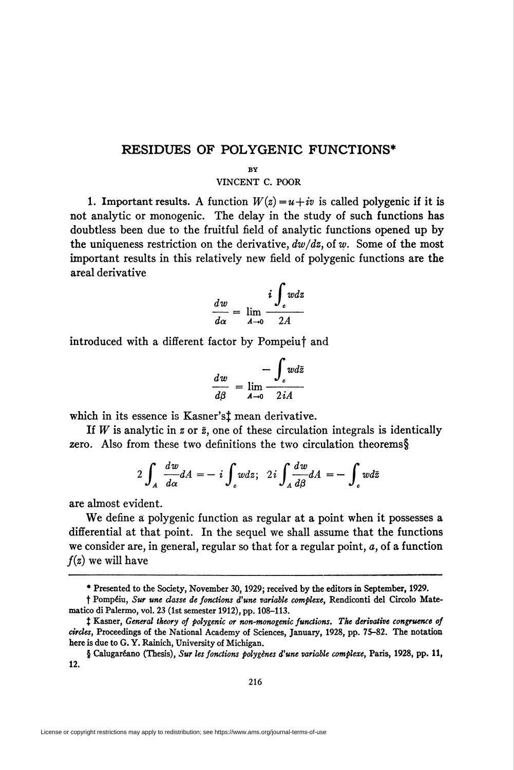## RESIDUES OF POLYGENIC FUNCTIONS\*

## BY

## VINCENT C. POOR

1. Important results. A function  $W(z) = u + iv$  is called polygenic if it is not analytic or monogenic. The delay in the study of such functions has doubtless been due to the fruitful field of analytic functions opened up by the uniqueness restriction on the derivative,  $dw/dz$ , of w. Some of the most important results in this relatively new field of polygenic functions are the areal derivative

$$
\frac{dw}{d\alpha} = \lim_{A \to 0} \frac{i \int_c w dz}{2A}
$$

introduced with a different factor by Pompeiuf and

$$
\frac{dw}{d\beta} = \lim_{A \to 0} \frac{-\int_c w d\bar{z}}{2iA}
$$

which in its essence is Kasner's<sup>†</sup> mean derivative.

If W is analytic in z or  $\bar{z}$ , one of these circulation integrals is identically zero. Also from these two definitions the two circulation theorems§

$$
2\int_A \frac{dw}{d\alpha} dA = -i \int_c w dz; \quad 2i \int_A \frac{dw}{d\beta} dA = -\int_c w d\bar{z}
$$

are almost evident.

We define a polygenic function as regular at a point when it possesses a differential at that point. In the sequel we shall assume that the functions we consider are, in general, regular so that for a regular point, a, of a function  $f(z)$  we will have

<sup>\*</sup> Presented to the Society, November 30,1929; received by the editors in September, 1929.

t Pompéiu, Sur une classe de fonctions d'une variable complexe, Rendiconti del Circolo Matemático di Palermo, vol. 23 (1st semester 1912), pp. 108-113.

<sup>&</sup>lt;sup>†</sup> Kasner, General theory of polygenic or non-monogenic functions. The derivative congruence of circles, Proceedings of the National Academy of Sciences, January, 1928, pp. 75-82. The notation here is due to G. Y. Rainich, University of Michigan.

<sup>§</sup> Calugaréano (Thesis), Sur les fonctions polygènes d'une variable complexe, Paris, 1928, pp. 11, 12.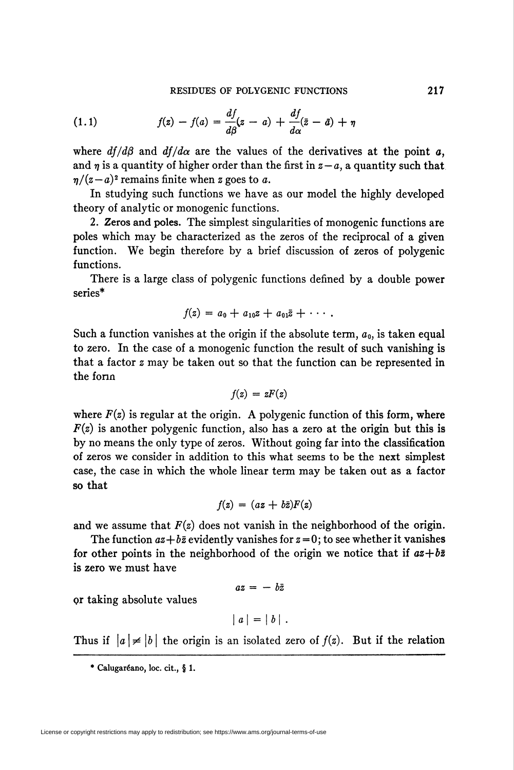(1.1) 
$$
f(z) - f(a) = \frac{df}{d\beta}(z - a) + \frac{df}{d\alpha}(\bar{z} - \bar{a}) + \eta
$$

where  $df/d\beta$  and  $df/d\alpha$  are the values of the derivatives at the point a, and  $\eta$  is a quantity of higher order than the first in  $z - a$ , a quantity such that  $\eta/(z-a)^2$  remains finite when z goes to a.

In studying such functions we have as our model the highly developed theory of analytic or monogenic functions.

2. Zeros and poles. The simplest singularities of monogenic functions are poles which may be characterized as the zeros of the reciprocal of a given function. We begin therefore by a brief discussion of zeros of polygenic functions.

There is a large class of polygenic functions defined by a double power series\*

$$
f(z) = a_0 + a_{10}z + a_{01}\bar{z} + \cdots
$$

Such a function vanishes at the origin if the absolute term,  $a_0$ , is taken equal to zero. In the case of a monogenic function the result of such vanishing is that a factor z may be taken out so that the function can be represented in the form

$$
f(z) = zF(z)
$$

where  $F(z)$  is regular at the origin. A polygenic function of this form, where  $F(z)$  is another polygenic function, also has a zero at the origin but this is by no means the only type of zeros. Without going far into the classification of zeros we consider in addition to this what seems to be the next simplest case, the case in which the whole linear term may be taken out as a factor so that

$$
f(z) = (az + b\bar{z})F(z)
$$

and we assume that  $F(z)$  does not vanish in the neighborhood of the origin.

The function  $az+b\bar{z}$  evidently vanishes for  $z=0$ ; to see whether it vanishes for other points in the neighborhood of the origin we notice that if  $az+b\bar{z}$ is zero we must have

$$
az = -b\bar{z}
$$

or taking absolute values

$$
|a|=|b|.
$$

Thus if  $\vert a\vert \neq \vert b\vert$  the origin is an isolated zero of  $f(z)$ . But if the relation

\* Calugaréano, loc. cit., § 1.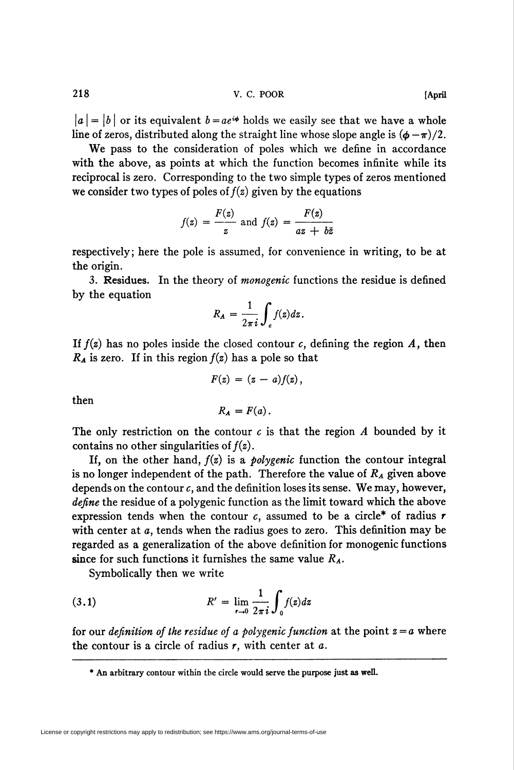218 V. C. POOR [April

 $\vert a \vert = \vert b \vert$  or its equivalent  $b = ae^{i\phi}$  holds we easily see that we have a whole line of zeros, distributed along the straight line whose slope angle is  $(\phi - \pi)/2$ .

We pass to the consideration of poles which we define in accordance with the above, as points at which the function becomes infinite while its reciprocal is zero. Corresponding to the two simple types of zeros mentioned we consider two types of poles of  $f(z)$  given by the equations

$$
f(z) = \frac{F(z)}{z} \text{ and } f(z) = \frac{F(z)}{az + b\bar{z}}
$$

respectively; here the pole is assumed, for convenience in writing, to be at the origin.

3. Residues. In the theory of monogenic functions the residue is defined by the equation

$$
R_A = \frac{1}{2\pi i} \int_c f(z) dz.
$$

If  $f(z)$  has no poles inside the closed contour c, defining the region A, then  $R_A$  is zero. If in this region  $f(z)$  has a pole so that

 $F(z) = (z-a) f(z),$ 

then

$$
R_A = F(a).
$$

The only restriction on the contour  $c$  is that the region A bounded by it contains no other singularities of  $f(z)$ .

If, on the other hand,  $f(z)$  is a *polygenic* function the contour integral is no longer independent of the path. Therefore the value of  $R<sub>A</sub>$  given above depends on the contour  $c$ , and the definition loses its sense. We may, however, define the residue of a polygenic function as the limit toward which the above expression tends when the contour c, assumed to be a circle\* of radius  $r$ with center at a, tends when the radius goes to zero. This definition may be regarded as a generalization of the above definition for monogenic functions since for such functions it furnishes the same value  $R_A$ .

Symbolically then we write

(3.1) 
$$
R' = \lim_{r \to 0} \frac{1}{2\pi i} \int_0^r f(z) dz
$$

for our *definition of the residue of a polygenic function* at the point  $z = a$  where the contour is a circle of radius  $r$ , with center at  $a$ .

<sup>\*</sup> An arbitrary contour within the circle would serve the purpose just as well.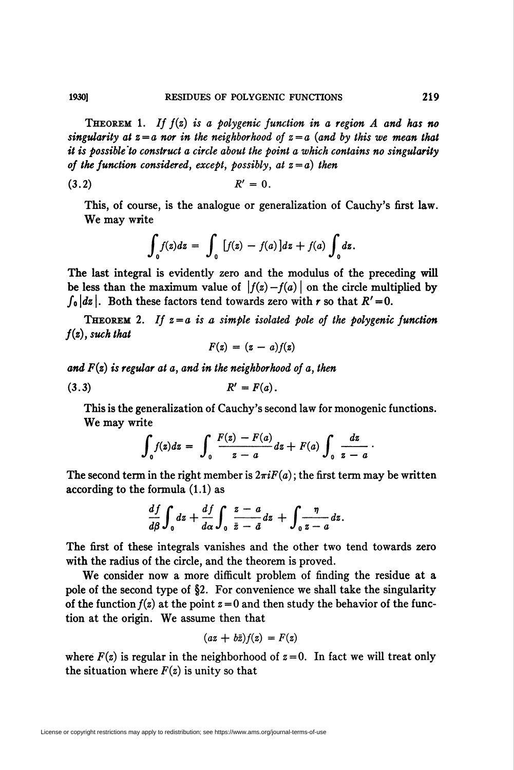**THEOREM** 1. If  $f(z)$  is a polygenic function in a region A and has no singularity at  $z = a$  nor in the neighborhood of  $z = a$  (and by this we mean that it is possible'to construct a circle about the point a which contains no singularity of the function considered, except, possibly, at  $z = a$ ) then

$$
R'=0.
$$

This, of course, is the analogue or generalization of Cauchy's first law. We may write

$$
\int_0^{\infty} f(z) dz = \int_0^{\infty} [f(z) - f(a)] dz + f(a) \int_0^{\infty} dz.
$$

The last integral is evidently zero and the modulus of the preceding will be less than the maximum value of  $|f(z) - f(a)|$  on the circle multiplied by  $\int_0 |dz|$ . Both these factors tend towards zero with r so that  $R'=0$ .

**THEOREM** 2. If  $z = a$  is a simple isolated pole of the polygenic function  $f(z)$ , such that

$$
F(z) = (z - a)f(z)
$$

and  $F(z)$  is regular at a, and in the neighborhood of a, then

$$
(3.3) \t R' = F(a).
$$

This is the generalization of Cauchy's second law for monogenic functions. We may write

$$
\int_0^1 f(z) dz = \int_0^1 \frac{F(z) - F(a)}{z - a} dz + F(a) \int_0^1 \frac{dz}{z - a}.
$$

The second term in the right member is  $2\pi iF(a)$ ; the first term may be written according to the formula (1.1) as

$$
\frac{df}{d\beta}\int_0 dz + \frac{df}{d\alpha}\int_0 \frac{z-a}{\bar{z}-\bar{a}} dz + \int_0^{\infty}\frac{\eta}{z-a} dz.
$$

The first of these integrals vanishes and the other two tend towards zero with the radius of the circle, and the theorem is proved.

We consider now a more difficult problem of finding the residue at a pole of the second type of §2. For convenience we shall take the singularity of the function  $f(z)$  at the point  $z = 0$  and then study the behavior of the function at the origin. We assume then that

$$
(az+b\bar{z})f(z)=F(z)
$$

where  $F(z)$  is regular in the neighborhood of  $z=0$ . In fact we will treat only the situation where  $F(z)$  is unity so that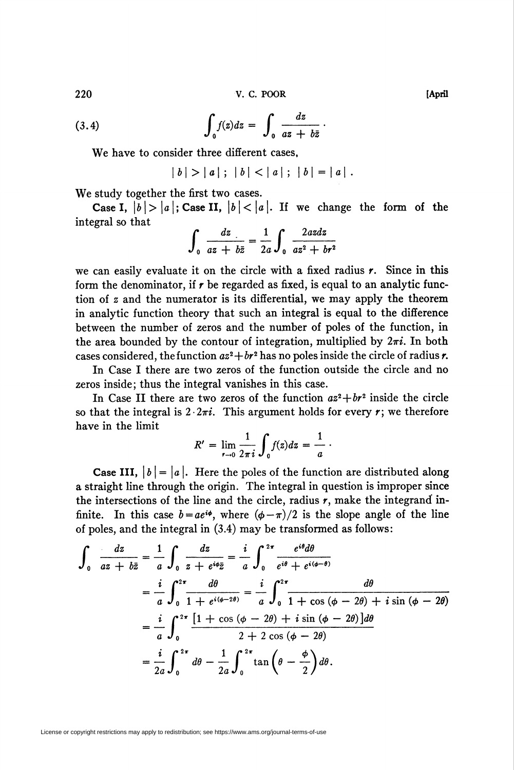220 V. C. POOR [April

(3.4) 
$$
\int_0^1 f(z) dz = \int_0^1 \frac{dz}{az + b\bar{z}}.
$$

We have to consider three different cases,

$$
|b| > |a|; |b| < |a|; |b| = |a|.
$$

We study together the first two cases.

Case I,  $|b| > |a|$ ; Case II,  $|b| < |a|$ . If we change the form of the integral so that

$$
\int_0^{\frac{dz}{az+b\bar{z}}} = \frac{1}{2a} \int_0^{\frac{2azdz}{az^2+b^2}}
$$

we can easily evaluate it on the circle with a fixed radius  $r$ . Since in this form the denominator, if  $r$  be regarded as fixed, is equal to an analytic function of z and the numerator is its differential, we may apply the theorem in analytic function theory that such an integral is equal to the difference between the number of zeros and the number of poles of the function, in the area bounded by the contour of integration, multiplied by  $2\pi i$ . In both cases considered, the function  $az^2 + br^2$  has no poles inside the circle of radius r.

In Case I there are two zeros of the function outside the circle and no zeros inside; thus the integral vanishes in this case.

In Case II there are two zeros of the function  $a^2 + b^2$  inside the circle so that the integral is  $2 \cdot 2\pi i$ . This argument holds for every r; we therefore have in the limit

$$
R' = \lim_{r \to 0} \frac{1}{2\pi i} \int_0^r f(z) dz = \frac{1}{a}.
$$

**Case III,**  $|b| = |a|$ . Here the poles of the function are distributed along a straight line through the origin. The integral in question is improper since the intersections of the line and the circle, radius  $r$ , make the integrand infinite. In this case  $b = ae^{i\phi}$ , where  $(\phi - \pi)/2$  is the slope angle of the line of poles, and the integral in (3.4) may be transformed as follows:

$$
\int_{0}^{a} \frac{dz}{az + b\bar{z}} = \frac{1}{a} \int_{0}^{a} \frac{dz}{z + e^{i\phi}\bar{z}} = \frac{i}{a} \int_{0}^{2\pi} \frac{e^{i\theta}d\theta}{e^{i\theta} + e^{i(\phi-\theta)}}
$$
\n
$$
= \frac{i}{a} \int_{0}^{2\pi} \frac{d\theta}{1 + e^{i(\phi-2\theta)}} = \frac{i}{a} \int_{0}^{2\pi} \frac{d\theta}{1 + \cos(\phi - 2\theta) + i\sin(\phi - 2\theta)}
$$
\n
$$
= \frac{i}{a} \int_{0}^{2\pi} \frac{[1 + \cos(\phi - 2\theta) + i\sin(\phi - 2\theta)]d\theta}{2 + 2\cos(\phi - 2\theta)}
$$
\n
$$
= \frac{i}{2a} \int_{0}^{2\pi} d\theta - \frac{1}{2a} \int_{0}^{2\pi} \tan(\theta - \frac{\phi}{2})d\theta.
$$

License or copyright restrictions may apply to redistribution; see https://www.ams.org/journal-terms-of-use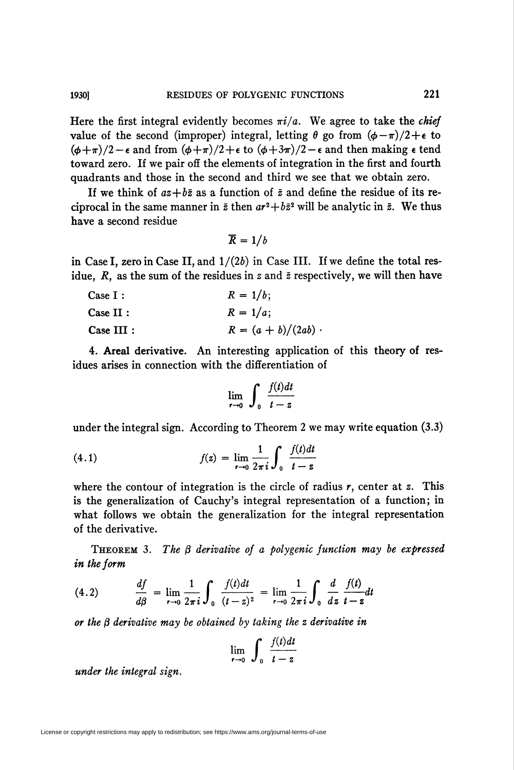Here the first integral evidently becomes  $\pi i/a$ . We agree to take the *chief* value of the second (improper) integral, letting  $\theta$  go from  $(\phi - \pi)/2 + \epsilon$  to  $(\phi+\pi)/2 - \epsilon$  and from  $(\phi+\pi)/2 + \epsilon$  to  $(\phi+3\pi)/2 - \epsilon$  and then making  $\epsilon$  tend toward zero. If we pair off the elements of integration in the first and fourth quadrants and those in the second and third we see that we obtain zero.

If we think of  $az+b\overline{z}$  as a function of  $\overline{z}$  and define the residue of its reciprocal in the same manner in  $\bar{z}$  then  $ar^2+b\bar{z}^2$  will be analytic in  $\bar{z}$ . We thus have a second residue

$$
\overline{R}=1/b
$$

in Case I, zero in Case II, and  $1/(2b)$  in Case III. If we define the total residue,  $R$ , as the sum of the residues in z and  $\bar{z}$  respectively, we will then have

| Case I:   | $R = 1/b;$            |
|-----------|-----------------------|
| Case II:  | $R = 1/a$ ;           |
| Case III: | $R = (a + b)/(2ab)$ . |

4. Areal derivative. An interesting application of this theory of residues arises in connection with the differentiation of

$$
\lim_{r \to 0} \int_0^1 \frac{f(t)dt}{t-z}
$$

under the integral sign. According to Theorem 2 we may write equation (3.3)

(4.1) 
$$
f(z) = \lim_{r \to 0} \frac{1}{2\pi i} \int_0^r \frac{f(t)dt}{t - z}
$$

where the contour of integration is the circle of radius  $r$ , center at z. This is the generalization of Cauchy's integral representation of a function; in what follows we obtain the generalization for the integral representation of the derivative.

**THEOREM** 3. The  $\beta$  derivative of a polygenic function may be expressed in the form

(4.2) 
$$
\frac{df}{d\beta} = \lim_{r \to 0} \frac{1}{2\pi i} \int_0^r \frac{f(t)dt}{(t-z)^2} = \lim_{r \to 0} \frac{1}{2\pi i} \int_0^r \frac{d}{dz} \frac{f(t)}{t-z} dt
$$

or the  $\beta$  derivative may be obtained by taking the z derivative in

$$
\lim_{t\to 0}\int_0^t\frac{f(t)dt}{t-z}
$$

under the integral sign.